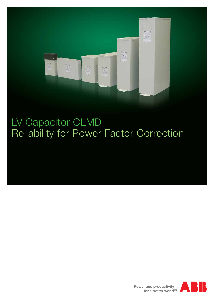

### LV Capacitor CLMD Reliability for Power Factor Correction

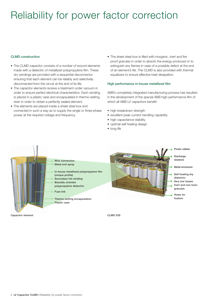### Reliability for power factor correction

### CLMD construction

- The CLMD capacitor consists of a number of wound elements made with a dielectric of metallized polypropylene film. These dry windings are provided with a sequential disconnector ensuring that each element can be reliably and selectively disconnected from the circuit at the end of its life.
- The capacitor elements receive a treatment under vacuum in order to ensure perfect electrical characteristics. Each winding is placed in a plastic case and encapsulated in thermo-setting resin in order to obtain a perfectly sealed element.
- The elements are placed inside a sheet steel box and connected in such a way as to supply the single or three-phase power at the required voltage and frequency.
- The sheet steel box is filled with inorganic, inert and fire proof granules in order to absorb the energy produced or to extinguish any flames in case of a possible defect at the end of an element's life. The CLMD is also provided with thermal equalizers to ensure effective heat dissipation.

#### High performance in-house metallized film

ABB's completely integrated manufacturing process has resulted in the development of the special ABB high-performance film of which all ABB LV capacitors benefit:

- high breakdown strength
- excellent peak current handling capability
- high capacitance stability
- optimal self healing design
- long life



Capacitor element Capacitor element CLMD 33S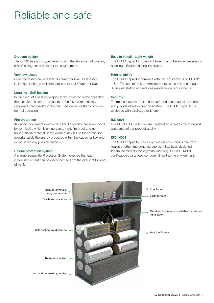### Reliable and safe

#### Dry type design

The CLMD has a dry type dielectric and therefore cannot give any risk of leakage or pollution of the environment.

#### Very low losses

Dielectric losses are less than 0.2 Watt per kvar. Total losses, including discharge resistors, are less than 0.5 Watt per kvar

#### Long life - Self-healing

In the event of a fault developing in the dielectric of the capacitor, the metallized electrode adjacent to the fault is immediately vaporized, thus insolating the fault. The capacitor then continues normal operation.

#### Fire protection

All capacitor elements within the CLMD capacitor are surrounded by vermiculite which is an inorganic, inert, fire proof and non toxic granular material. In the event of any failure the vermiculite absorbs safely the energy produced within the capacitor box and extinguishes any possible flames.

### Unique protection system

A unique Sequential Protection System ensures that each individual element can be disconnected from the circuit at the end  $of$  ite life.

### Easy to install - Light weight

The CLMD capacitor is very lightweight and therefore presents no handling difficulties during installation.

#### **High reliability**

The CLMD capacitor complies with the requirements of IEC 831- 1 & 2. The use of robust terminals removes the risk of damage during installation and reduces maintenance requirements.

### **Security**

Thermal equalizers are fitted to surround each capacitor element and provide effective heat dissipation. The CLMD capacitor is equipped with discharge resistors.

### ISO 9001

Our ISO 9001 Quality System registration provides the strongest assurance of our product quality.

### ISO 14001

The CLMD capacitor has a dry type dielectric and is free from liquids or other impregnating agents. It has been designed for environmentally friendly manufacturing. Our ISO 14001 certification guarantees our commitment to the environment.

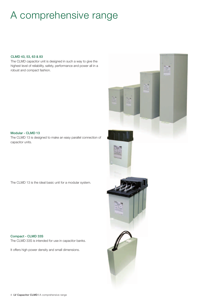### A comprehensive range

### CLMD 43, 53, 63 & 83

The CLMD capacitor unit is designed in such a way to give the highest level of reliability, safety, performance and power all in a robust and compact fashion.

Modular - CLMD 13 The CLMD 13 is designed to make an easy parallel connection of capacitor units.

The CLMD 13 is the ideal basic unit for a modular system.

#### Compact - CLMD 33S

The CLMD 33S is intended for use in capacitor banks.

It offers high power density and small dimensions.

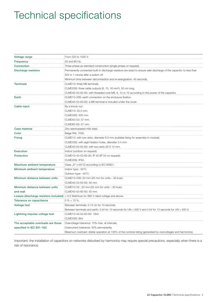### Technical specifications

| Voltage range                      | From 220 to 1000 V.                                                                                                 |  |  |  |
|------------------------------------|---------------------------------------------------------------------------------------------------------------------|--|--|--|
| Frequency                          | 50 and 60 Hz.                                                                                                       |  |  |  |
| Connection                         | Three-phase as standard construction (single-phase on request).                                                     |  |  |  |
| Discharge resistors                | Permanently connected built-in discharge resistors are sized to ensure safe discharge of the capacitor to less than |  |  |  |
|                                    | 50V in 1 minute after a switch off.                                                                                 |  |  |  |
|                                    | Minimum time between disconnection and re-energization: 40 seconds.                                                 |  |  |  |
| <b>Terminals</b>                   | CLMD13: three M6 terminals.                                                                                         |  |  |  |
|                                    | CLMD33S: three cable outputs (6, 10, 16 mm <sup>2</sup> ), 50 cm long.                                              |  |  |  |
|                                    | CLMD43-53-63-83: with threaded rods M6, 8, 10 or 12 according to the power of the capacitor.                        |  |  |  |
| Earth                              | CLMD13-33S: earth connection on the enclosure fixation.                                                             |  |  |  |
|                                    | CLMD43-53-63-83; a M8 terminal is included under the cover.                                                         |  |  |  |
| Cable input                        | By a knock out:                                                                                                     |  |  |  |
|                                    | CLMD13: 22.5 mm.                                                                                                    |  |  |  |
|                                    | CLMD33S: 500 mm                                                                                                     |  |  |  |
|                                    | CLMD43-53: 37 mm.                                                                                                   |  |  |  |
|                                    | CLMD63-83: 47 mm.                                                                                                   |  |  |  |
| Case material                      | Zinc electroplated mild steel.                                                                                      |  |  |  |
| Color                              | Beige RAL 7032.                                                                                                     |  |  |  |
| <b>Fixing</b>                      | CLMD13: with two slots, diameter 6.5 mm (suitable fixing for assembly in module).                                   |  |  |  |
|                                    | CLMD33S: with eight fixation holes, diameter 5.4 mm.                                                                |  |  |  |
|                                    | CLMD43-53-63-83: with two slots 26 X 12 mm.                                                                         |  |  |  |
| <b>Execution</b>                   | Indoor (outdoor on request).                                                                                        |  |  |  |
| <b>Protection</b>                  | CLMD13-43-53-63-83: IP 42 (IP 54 on request).                                                                       |  |  |  |
|                                    | CLMD33S: IP40.                                                                                                      |  |  |  |
| Maximum ambient temperature        | Class "D" (+55°C) according to IEC 60831.                                                                           |  |  |  |
| Minimum ambient temperature        | Indoor type: -25°C.                                                                                                 |  |  |  |
|                                    | Outdoor type: -40°C.                                                                                                |  |  |  |
| Minimum distance between units     | CLMD13-33S: 20 mm (25 mm for units > 30 kvar).                                                                      |  |  |  |
|                                    | CLMD43-53-63-83: 50 mm.                                                                                             |  |  |  |
| Minimum distance between units     | CLMD13-33: 20 mm (25 mm for units > 30 kvar).                                                                       |  |  |  |
| and wall                           | CLMD43-53-63-83: 50 mm.                                                                                             |  |  |  |
|                                    | <b>Losses (discharge resistors included)</b> $= 0.5$ Watt/kvar for 380 V rated voltage and above.                   |  |  |  |
| Tolerance on capacitance           | $0\% + 10\%$ .                                                                                                      |  |  |  |
| <b>Voltage test</b>                | Between terminals: 2.15 Un for 10 seconds.                                                                          |  |  |  |
|                                    | Between terminals and earth: 3 kV for 10 seconds for UN < 500 V and 4 kV for 10 seconds for UN > 500 V.             |  |  |  |
| Lightning impulse voltage test     | CLMD13-43-53-63-83: 15kV.                                                                                           |  |  |  |
|                                    | CLMD33S: 8kV.                                                                                                       |  |  |  |
| The acceptable overloads are those | Overvoltage tolerance: 10% max. at intervals.                                                                       |  |  |  |
| specified in IEC 831-1&2           | Overcurrent tolerance: 30% permanently.                                                                             |  |  |  |
|                                    | Maximum overload: stable operation at 135% of the nominal rating (generated by overvoltages and harmonics).         |  |  |  |

Important: the installation of capacitors on networks disturbed by harmonics may require special precautions, especially when there is a risk of resonance.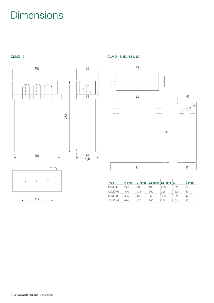### Dimensions





# $80$ Ñ  $\frac{80}{100}$  $\vdash$

CLMD 13 CLMD 13



| <b>Type</b>        | $H \, (mm)$ |       |      | $ L1$ (mm) $ L2$ (mm) $ L3$ (mm) $ D $ |     | . (mm) |
|--------------------|-------------|-------|------|----------------------------------------|-----|--------|
| CLMD43             | :275        | :266  | 180  | 226                                    | 152 | :37    |
| CLMD 53            | :310        | : 436 | :350 | :396                                   | 152 | :37    |
| CLMD <sub>63</sub> | : 485       | : 436 | :350 | :396                                   | 152 | :47    |
| CLMD <sub>83</sub> | :670        | 436   | 1350 | :396                                   | 152 | : 47   |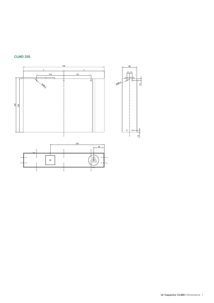

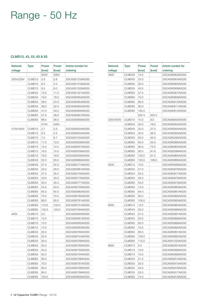## Range - 50 Hz

### CLMD13, 43, 53, 63 & 83

| <b>Network</b><br>voltage | Type               | Power<br>[kvar] | Power<br>[kvar] | Article number for<br>ordering |
|---------------------------|--------------------|-----------------|-----------------|--------------------------------|
|                           |                    | 250V            | 230V            |                                |
| 250V/230V                 | CLMD13             | 3.3             | 2.8             | 2GCA281318A0030                |
|                           | CLMD13             | 6.5             | 5.5             | 2GCA281319A0030                |
|                           | CLMD13             | 9.5             | 8.0             | 2GCA281320A0030                |
|                           | CLMD43             | 13.0            | 11.0            | 2GCA281321A0030                |
|                           | CLMD43             | 19.0            | 16.0            | 2GCA280953A0030                |
|                           | CLMD53             | 28.0            | 24.0            | 2GCA280954A0030                |
|                           | CLMD53             | 38.0            | 32.0            | 2GCA280955A0030                |
|                           | CLMD63             | 47.0            | 40.0            | 2GCA280956A0030                |
|                           | CLMD63             | 57.0            | 48.0            | 2GCA280957A0030                |
|                           | CLMD63             | 66.0            | 56.0            | 2GCA280958A0030                |
|                           |                    | 415V            | 400V            |                                |
| 415V/400V                 | CLMD13             | 2.7             | 2.5             | 2GCA280554A0030                |
|                           | CLMD13             | 6.0             | 5.5             | 2GCA280555A0030                |
|                           | CLMD13             | 7.2             | 6.7             | 2GCA281533A0030                |
|                           | CLMD13             | 11.0            | 10.0            | 2GCA280556A0030                |
|                           | CLMD13             | 13.5            | 12.5            | 2GCA280557A0030                |
|                           | CLMD13             | 16.0            | 15.0            | 2GCA280558A0030                |
|                           | CLMD13             | 18.0            | 16.6            | 2GCA280559A0030                |
|                           | CLMD43             | 22.0            | 20.0            | 2GCA280960A0030                |
|                           | CLMD43             |                 |                 |                                |
|                           |                    | 27.0            | 25.0            | 2GCA280774A0030                |
|                           | CLMD43             | 32.0            | 30.0            | 2GCA280961A0030                |
|                           | CLMD53             | 37.5            | 35.0            | 2GCA280730A0030                |
|                           | CLMD53             | 43.0            | 40.0            | 2GCA280776A0030                |
|                           | CLMD53             | 50.0            | 45.0            | 2GCA280777A0030                |
|                           | CLMD63             | 54.0            | 50.0            | 2GCA280729A0030                |
|                           | CLMD63             | 65.0            | 60.0            | 2GCA280982A0030                |
|                           | CLMD63             | 75.0            | 70.0            | 2GCA280780A0030                |
|                           | CLMD63             | 86.0            | 80.0            | 2GCA280781A0030                |
|                           | CLMD83             | 110.0           | 100.0           | 2GCA280731A0030                |
|                           | CLMD83             | 130.0           | 120.0           | 2GCA281094A0030                |
| 440V                      | CLMD13             | 5.0             |                 | 2GCA280560A0030                |
|                           | CLMD13             | 10.0            |                 | 2GCA280561A0030                |
|                           | CLMD13             | 12.0            |                 | 2GCA280562A0030                |
|                           | CLMD <sub>13</sub> | 14.0            |                 | 2GCA280563A0030                |
|                           | CLMD43             | 20.0            |                 | 2GCA280785A0030                |
|                           | CLMD43             | 25.0            |                 | 2GCA280744A0030                |
|                           | CLMD53             | 30.0            |                 | 2GCA280789A0030                |
|                           | CLMD53             | 35.0            |                 | 2GCA280790A0030                |
|                           | CLMD53             | 40.0            |                 | 2GCA280792A0030                |
|                           | CLMD53             | 50.0            |                 | 2GCA280794A0030                |
|                           | CLMD63             | 60.0            |                 | 2GCA280796A0030                |
|                           | CLMD63             | 70.0            |                 | 2GCA280797A0030                |
|                           | CLMD63             | 80.0            |                 | 2GCA280798A0030                |
|                           | CLMD83             | 90.0            |                 | 2GCA280799A0030                |
|                           | CLMD83             | 100.0           |                 | 2GCA280800A0030                |

| <b>Network</b> | <b>Type</b> | Power        | <b>Power</b> | Article number for |
|----------------|-------------|--------------|--------------|--------------------|
| voltage        |             | [kvar]       | [kvar]       | ordering           |
| 460V           | CLMD43      | 15.0         |              | 2GCA280803A0030    |
|                | CLMD43      | 23.0         |              | 2GCA280804A0030    |
|                | CLMD53      | 35.0         |              | 2GCA280805A0030    |
|                | CLMD53      | 45.0         |              | 2GCA280806A0030    |
|                | CLMD63      | 57.0         |              | 2GCA280807A0030    |
|                | CLMD63      | 70.0         |              | 2GCA280808A0030    |
|                | CLMD63      | 80.0         |              | 2GCA280810A0030    |
|                | CLMD83      | 90.0         |              | 2GCA280811A0030    |
|                | CLMD83      | 100.0        |              | 2GCA280812A0030    |
|                |             | 525 V        | 500 V        |                    |
| 525V/500V      | CLMD13      | 10.0         | 9.0          | 2GCA280842A0030    |
|                | CLMD43      | 20.0         | 18.0         | 2GCA280852A0030    |
|                | CLMD43      | 30.0         | 27.0         | 2GCA280854A0030    |
|                | CLMD53      | 40.0         | 36.0         | 2GCA280855A0030    |
|                | CLMD53      | 50.0         | 45.0         | 2GCA285290A0030    |
|                | CLMD63      | 60.0         | 54.0         | 2GCA280860A0030    |
|                | CLMD63      | 80.0         | 73.0         | 2GCA280864A0030    |
|                | CLMD63      | 90.0         | 81.6         | 2GCA285299A0030    |
|                | CLMD83      | 100.0        | 91.0         | 2GCA280865A0030    |
|                | CLMD83      | 120.0        | 109.0        | 2GCA280866A0030    |
| 550V           | CLMD13      | 10.0         |              | 2GCA280566A0030    |
|                | CLMD43      | 21.0         |              | 2GCA280876A0030    |
|                | CLMD53      | 32.0         |              | 2GCA280877A0030    |
|                | CLMD53      | 42.0         |              | 2GCA280878A0030    |
|                | CLMD63      | 53.0         |              | 2GCA280879A0030    |
|                | CLMD63      | 74.0         |              | 2GCA280880A0030    |
|                | CLMD63      | 84.0         |              | 2GCA280881A0030    |
|                | CLMD83      | 95.0         |              | 2GCA280882A0030    |
|                | CLMD83      | 105.0        |              | 2GCA280883A0030    |
| 600V           | CLMD13      | 12.5         |              | 2GCA280884A0030    |
|                | CLMD43      | 25.0         |              | 2GCA280886A0030    |
|                | CLMD53      | 37.5         |              | 2GCA280887A0030    |
|                | CLMD53      | 50.0         |              | 2GCA280888A0030    |
|                | CLMD63      | 62.0         |              | 2GCA280889A0030    |
|                | CLMD63      |              |              | 2GCA280890A0030    |
|                | CLMD63      | 75.0<br>85.0 |              | 2GCA280891A0030    |
|                |             |              |              |                    |
|                | CLMD83      | 100.0        |              | 2GCA280892A0030    |
|                | CLMD83      | 112.0        |              | 2GCA281220A0030    |
| 660V           | CLMD13      | 5.0          |              | 2GCA280567A0030    |
|                | CLMD13      | 10.0         |              | 2GCA280568A0030    |
|                | CLMD13      | 15.0         |              | 2GCA280569A0030    |
|                | CLMD43      | 21.0         |              | 2GCA280914A0030    |
|                | CLMD53      | 32.0         |              | 2GCA280915A0030    |
|                | CLMD53      | 42.0         |              | 2GCA280916A0030    |
|                | CLMD53      | 53.0         |              | 2GCA280917A0030    |
|                | CLMD83      | 74.0         |              | 2GCA280818A0030    |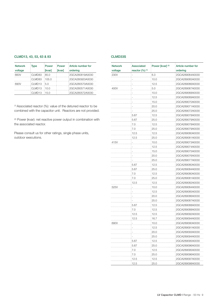### CLMD13, 43, 53, 63 & 83

| <b>Network</b> | Type               | Power  | Power         | Article number for |
|----------------|--------------------|--------|---------------|--------------------|
| voltage        |                    | [kvar] | <b>[kvar]</b> | ordering           |
| 660V           | CLMD83             | :85.0  |               | 2GCA280819A0030    |
|                | CLMD83             | 105.0  |               | 2GCA280920A0030    |
| 690V           | CLMD <sub>13</sub> | :5.0   |               | 2GCA280570A0030    |
|                | CLMD <sub>13</sub> | 10.0   |               | 2GCA280571A0030    |
|                | CLMD13             | 15.0   |               | 2GCA280572A0030    |

(1) Associated reactor (%): value of the detuned reactor to be combined with the capacitor unit. Reactors are not provided.

(2) Power (kvar): net reactive power output in combination with the associated reactor.

Please consult us for other ratings, single phase units, outdoor executions.

| <b>Network</b> | Associated            | Power [kvar] <sup>(2)</sup> | Article number for |  |
|----------------|-----------------------|-----------------------------|--------------------|--|
| voltage        | reactor $(\% )$ $(1)$ |                             | ordering           |  |
| 230V           |                       | 6.3                         | 2GCA289064A0030    |  |
|                |                       | 10.0                        | 2GCA289065A0030    |  |
|                |                       | 12.5                        | 2GCA289066A0030    |  |
| 400V           |                       | 5.0                         | 2GCA289067A0030    |  |
|                |                       | 10.0                        | 2GCA289068A0030    |  |
|                |                       | 12.5                        | 2GCA289069A0030    |  |
|                |                       | 15.0                        | 2GCA289070A0030    |  |
|                |                       | 20.0                        | 2GCA289071A0030    |  |
|                |                       | 25.0                        | 2GCA289072A0030    |  |
|                | 5.67                  | 12.5                        | 2GCA289078A0030    |  |
|                | 5.67                  | 25.0                        | 2GCA289079A0030    |  |
|                | 7.0                   | 12.5                        | 2GCA289078A0030    |  |
|                | 7.0                   | 25.0                        | 2GCA289079A0030    |  |
|                | 12.5                  | 12.5                        | 2GCA289080A0030    |  |
|                | 12.5                  | 25.0                        | 2GCA289081A0030    |  |
| 415V           |                       | 10.0                        | 2GCA289073A0030    |  |
|                |                       | 12.5                        | 2GCA289074A0030    |  |
|                |                       | 15.0                        | 2GCA289075A0030    |  |
|                |                       | 20.0                        | 2GCA289076A0030    |  |
|                |                       | 25.0                        | 2GCA289077A0030    |  |
|                | 5.67                  | 12.5                        | 2GCA289080A0030    |  |
|                | 5.67                  | 25.0                        | 2GCA289084A0030    |  |
|                |                       |                             |                    |  |
|                | 7.0                   | 12.5                        | 2GCA289080A0030    |  |
|                | 7.0                   | 25.0                        | 2GCA289081A0030    |  |
|                | 12.5                  | 12.5                        | 2GCA289082A0030    |  |
| 525V           |                       | 10.0                        | 2GCA289084A0030    |  |
|                |                       | 12.5                        | 2GCA289085A0030    |  |
|                |                       | 20.0                        | 2GCA289086A0030    |  |
|                |                       | 25.0                        | 2GCA289087A0030    |  |
|                | 5.67                  | 12.5                        | 2GCA289088A0030    |  |
|                | 7.0                   | 12.5                        | 2GCA289088A0030    |  |
|                | 12.5                  | 12.5                        | 2GCA289092A0030    |  |
|                | 12.5                  | 16.7                        | 2GCA289094A0030    |  |
| 690V           |                       | 10.0                        | 2GCA289090A0030    |  |
|                |                       | 12.5                        | 2GCA289091A0030    |  |
|                |                       | 20.0                        | 2GCA289093A0030    |  |
|                |                       | 25.0                        | 2GCA289094A0030    |  |
|                | 5.67                  | 12.5                        | 2GCA289095A0030    |  |
|                | 5.67                  | 25.0                        | 2GCA289096A0030    |  |
|                | 7.0                   | 12.5                        | 2GCA289095A0030    |  |
|                | 7.0                   | 25.0                        | 2GCA289096A0030    |  |
|                | 12.5                  | 12.5                        | 2GCA289097A0030    |  |
|                | 12.5                  | 25.0                        | 2GCA289098A0030    |  |

CLMD33S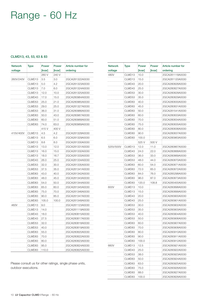### Range - 60 Hz

### CLMD13, 43, 53, 63 & 83

| <b>Network</b> | <b>Type</b> | Power  | Power  | Article number for |
|----------------|-------------|--------|--------|--------------------|
| voltage        |             | [kvar] | [kvar] | ordering           |
|                |             | 260 V  | 240 V  |                    |
| 260V/240V      | CLMD13      | 3.5    | 3.0    | 2GCA281322A0030    |
|                | CLMD13      | 5.0    | 4.2    | 2GCA281323A0030    |
|                | CLMD13      | 7.0    | 6.0    | 2GCA281324A0030    |
|                | CLMD13      | 12.0   | 10.0   | 2GCA281325A0030    |
|                | CLMD43      | 17.0   | 15.0   | 2GCA280964A0030    |
|                | CLMD53      | 25.0   | 21.0   | 2GCA280965A0030    |
|                | CLMD53      | 29.0   | 25.0   | 2GCA281327A0030    |
|                | CLMD53      | 36.0   | 31.0   | 2GCA280966A0030    |
|                | CLMD63      | 50.0   | 43.0   | 2GCA280967A0030    |
|                | CLMD63      | 60.0   | 51.0   | 2GCA280968A0030    |
|                | CLMD63      | 74.0   | 63.0   | 2GCA280969A0030    |
|                |             | 415 V  | 400 V  |                    |
| 415V/400V      | CLMD13      | 4.5    | 4.2    | 2GCA281328A0030    |
|                | CLMD13      | 6.5    | 6.0    | 2GCA281329A0030    |
|                | CLMD13      | 8.6    | 8.0    | 2GCA281330A0030    |
|                | CLMD13      | 13.0   | 12.0   | 2GCA281331A0030    |
|                | CLMD13      | 16.0   | 15.0   | 2GCA281332A0030    |
|                | CLMD13      | 18.0   | 16.7   | 2GCA281333A0030    |
|                | CLMD43      | 26.0   | 25.0   | 2GCA281334A0030    |
|                | CLMD53      | 32.0   | 30.0   | 2GCA281335A0030    |
|                | CLMD53      | 37.5   | 35.0   | 2GCA281341A0030    |
|                | CLMD63      | 43.0   | 40.0   | 2GCA281342A0030    |
|                | CLMD63      | 48.0   | 45.0   | 2GCA281343A0030    |
|                | CLMD63      | 54.0   | 50.0   | 2GCA281344A0030    |
|                | CLMD63      | 65.0   | 60.0   | 2GCA281345A0030    |
|                | CLMD83      | 75.0   | 70.0   | 2GCA281346A0030    |
|                | CLMD83      | 90.0   | 85.0   | 2GCA281347A0030    |
|                | CLMD83      | 105.0  | 100.0  | 2GCA281348A0030    |
| 460V           | CLMD13      | 9.0    |        | 2GCA281123A0030    |
|                | CLMD13      | 14.0   |        | 2GCA281119A0030    |
|                | CLMD43      | 18.0   |        | 2GCA280815A0030    |
|                | CLMD43      | 27.5   |        | 2GCA280817A0030    |
|                | CLMD53      | 32.0   |        | 2GCA280818A0030    |
|                | CLMD53      | 40.0   |        | 2GCA280819A0030    |
|                | CLMD63      | 55.0   |        | 2GCA280820A0030    |
|                | CLMD83      | 70.0   |        | 2GCA280822A0030    |
|                | CLMD83      | 80.0   |        | 2GCA280823A0030    |
|                | CLMD83      | 95.0   |        | 2GCA280824A0030    |
|                | CLMD83      | 110.0  |        | 2GCA280825A0030    |

Please consult us for other ratings, single phase units, outdoor executions.

| Network   | <b>Type</b>        | Power  | <b>Power</b> | Article number for |
|-----------|--------------------|--------|--------------|--------------------|
| voltage   |                    | [kvar] | [kvar]       | ordering           |
| 480V      | CLMD13             | 10.0   |              | 2GCA281118A0030    |
|           | CLMD13             | 15.0   |              | 2GCA281120A0030    |
|           | CLMD43             | 20.0   |              | 2GCA280826A0030    |
|           | CLMD43             | 25.0   |              | 2GCA280827A0030    |
|           | CLMD53             | 30.0   |              | 2GCA280828A0030    |
|           | CLMD53             | 35.0   |              | 2GCA280829A0030    |
|           | CLMD63             | 40.0   |              | 2GCA280830A0030    |
|           | CLMD63             | 45.0   |              | 2GCA280831A0030    |
|           | CLMD63             | 50.0   |              | 2GCA281541A0030    |
|           | CLMD63             | 60.0   |              | 2GCA280833A0030    |
|           | CLMD83             | 70.0   |              | 2GCA280834A0030    |
|           | CLMD83             | 75.0   |              | 2GCA280835A0030    |
|           | CLMD83             | 80.0   |              | 2GCA280836A0030    |
|           | CLMD83             | 90.0   |              | 2GCA280837A0030    |
|           | CLMD83             | 100.0  |              | 2GCA280963A0030    |
|           |                    | 525 V  | 500 V        |                    |
| 525V/500V | CLMD <sub>13</sub> | 12.0   | 11.0         | 2GCA280867A0030    |
|           | CLMD43             | 24.0   | 22.0         | 2GCA280868A0030    |
|           | CLMD53             | 36.0   | 33.0         | 2GCA280869A0030    |
|           | CLMD53             | 48.0   | 44.0         | 2GCA280870A0030    |
|           | CLMD63             | 60.0   | 54.0         | 2GCA280871A0030    |
|           | CLMD63             | 72.0   | 65.0         | 2GCA280872A0030    |
|           | CLMD63             | 84.0   | 76.0         | 2GCA285298A0030    |
|           | CLMD83             | 96.0   | 87.0         | 2GCA280873A0030    |
|           | CLMD83             | 120.0  | 108.8        | 2GCA285400A0030    |
| 600V      | CLMD13             | 10.0   |              | 2GCA280898A0030    |
|           | CLMD13             | 15.0   |              | 2GCA280899A0030    |
|           | CLMD43             | 20.0   |              | 2GCA280900A0030    |
|           | CLMD43             | 25.0   |              | 2GCA280901A0030    |
|           | CLMD53             | 30.0   |              | 2GCA280902A0030    |
|           | CLMD53             | 35.0   |              | 2GCA280903A0030    |
|           | CLMD53             | 40.0   |              | 2GCA280904A0030    |
|           | CLMD53             | 50.0   |              | 2GCA280906A0030    |
|           |                    |        |              |                    |
|           | CLMD63             | 60.0   |              | 2GCA280907A0030    |
|           | CLMD83             | 70.0   |              | 2GCA280908A0030    |
|           | CLMD83             | 80.0   |              | 2GCA280910A0030    |
|           | CLMD83             | 90.0   |              | 2GCA280911A0030    |
|           | CLMD83             | 100.0  |              | 2GCA280912A0030    |
| 660V      | CLMD13             | 12.5   |              | 2GCA280921A0030    |
|           | CLMD43             | 25.0   |              | 2GCA280922A0030    |
|           | CLMD53             | 38.0   |              | 2GCA280923A0030    |
|           | CLMD63             | 50.0   |              | 2GCA280924A0030    |
|           | CLMD63             | 63.0   |              | 2GCA280925A0030    |
|           | CLMD83             | 75.0   |              | 2GCA280926A0030    |
|           | CLMD83             | 88.0   |              | 2GCA280827A0030    |
|           | CLMD83             | 100.0  |              | 2GCA280828A0030    |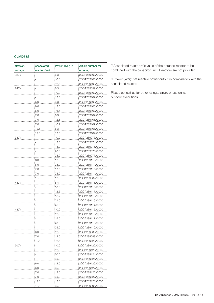### CLMD33S

| <b>Network</b><br><b>Associated</b><br>voltage<br>reactor $(\% )$ $(1)$ |      | Power [kvar] <sup>(2)</sup> | Article number for<br>ordering |
|-------------------------------------------------------------------------|------|-----------------------------|--------------------------------|
| 220V                                                                    |      | 6.3                         | 2GCA289103A0030                |
|                                                                         |      | 10.0                        | 2GCA289105A0030                |
|                                                                         |      | 12.5                        | 2GCA289106A0030                |
| 240V                                                                    |      | 6.3                         | 2GCA289099A0030                |
|                                                                         |      | 10.0                        | 2GCA289100A0030                |
|                                                                         |      | 12.5                        | 2GCA289102A0030                |
|                                                                         | 6.0  | 6.3                         | 2GCA289102A0030                |
|                                                                         | 6.0  | 12.5                        | 2GCA289105A0030                |
|                                                                         | 6.0  | 16.7                        | 2GCA289107A0030                |
|                                                                         | 7.0  | 6.3                         | 2GCA289102A0030                |
|                                                                         | 7.0  | 12.5                        | 2GCA289105A0030                |
|                                                                         |      |                             |                                |
|                                                                         | 7.0  | 16.7                        | 2GCA289107A0030                |
|                                                                         | 12.5 | 6.3                         | 2GCA289108A0030                |
|                                                                         | 12.5 | 12.5                        | 2GCA289109A0030                |
| 380V                                                                    |      | 10.0                        | 2GCA289073A0030                |
|                                                                         |      | 12.5                        | 2GCA289074A0030                |
|                                                                         |      | 15.0                        | 2GCA289075A0030                |
|                                                                         |      | 20.0                        | 2GCA289076A0030                |
|                                                                         |      | 25.0                        | 2GCA289077A0030                |
|                                                                         | 6.0  | 12.5                        | 2GCA289110A0030                |
|                                                                         | 6.0  | 25.0                        | 2GCA289111A0030                |
|                                                                         | 7.0  | 12.5                        | 2GCA289110A0030                |
|                                                                         | 7.0  | 25.0                        | 2GCA289111A0030                |
|                                                                         | 12.5 | 12.5                        | 2GCA289082A0030                |
| 440V                                                                    |      | 8.4                         | 2GCA289115A0030                |
|                                                                         |      | 10.5                        | 2GCA289116A0030                |
|                                                                         |      | 12.5                        | 2GCA289117A0030                |
|                                                                         |      | 16.7                        | 2GCA289118A0030                |
|                                                                         |      | 21.0                        | 2GCA289119A0030                |
|                                                                         |      | 25.0                        | 2GCA289114A0030                |
| 480V                                                                    |      | 10.0                        | 2GCA289115A0030                |
|                                                                         |      | 12.5                        | 2GCA289116A0030                |
|                                                                         |      | 15.0                        | 2GCA289117A0030                |
|                                                                         |      |                             | 2GCA289118A0030                |
|                                                                         |      | 20.0                        |                                |
|                                                                         |      | 25.0                        | 2GCA289119A0030                |
|                                                                         | 6.0  | 12.5                        | 2GCA289088A0030                |
|                                                                         | 7.0  | 12.5                        | 2GCA289088A0030                |
|                                                                         | 12.5 | 12.5                        | 2GCA289120A0030                |
| 600V                                                                    |      | 10.0                        | 2GCA289122A0030                |
|                                                                         |      | 12.5                        | 2GCA289123A0030                |
|                                                                         |      | 20.0                        | 2GCA289124A0030                |
|                                                                         |      | 25.0                        | 2GCA289125A0030                |
|                                                                         | 6.0  | 12.5                        | 2GCA289126A0030                |
|                                                                         | 6.0  | 25.0                        | 2GCA289127A0030                |
|                                                                         | 7.0  | 12.5                        | 2GCA289126A0030                |
|                                                                         | 7.0  | 25.0                        | 2GCA289127A0030                |
|                                                                         | 12.5 | 12.5                        | 2GCA289128A0030                |
|                                                                         | 12.5 | 25.0                        | 2GCA289295A0030                |

(1) Associated reactor (%): value of the detuned reactor to be combined with the capacitor unit. Reactors are not provided.

(2) Power (kvar): net reactive power output in combination with the associated reactor.

Please consult us for other ratings, single phase units, outdoor executions.